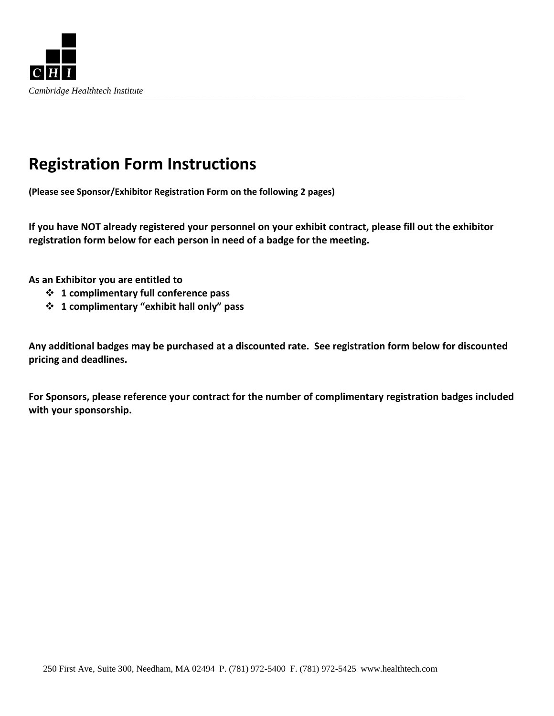

## **Registration Form Instructions**

**(Please see Sponsor/Exhibitor Registration Form on the following 2 pages)**

**If you have NOT already registered your personnel on your exhibit contract, please fill out the exhibitor registration form below for each person in need of a badge for the meeting.**

**As an Exhibitor you are entitled to** 

- **1 complimentary full conference pass**
- **1 complimentary "exhibit hall only" pass**

**Any additional badges may be purchased at a discounted rate. See registration form below for discounted pricing and deadlines.**

**For Sponsors, please reference your contract for the number of complimentary registration badges included with your sponsorship.**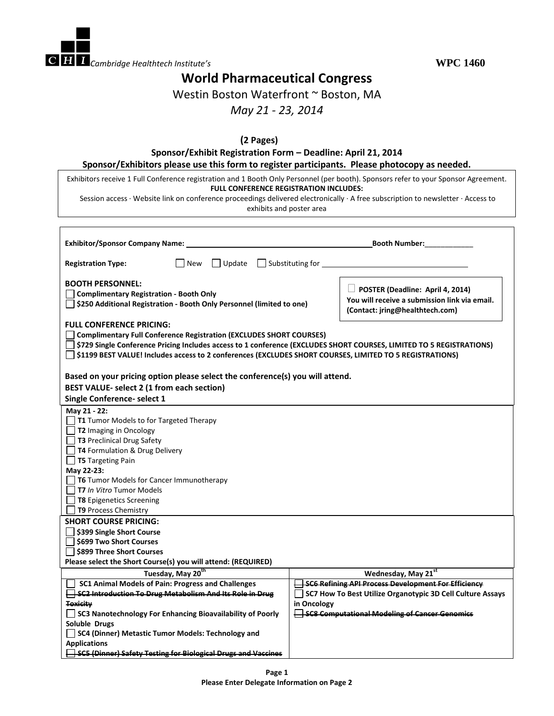

## **World Pharmaceutical Congress**

Westin Boston Waterfront ~ Boston, MA

## *May 21 - 23, 2014*

| Exhibitors receive 1 Full Conference registration and 1 Booth Only Personnel (per booth). Sponsors refer to your Sponsor Agreement.                                                                                                                                                                                     |                                                                                                                             |  |
|-------------------------------------------------------------------------------------------------------------------------------------------------------------------------------------------------------------------------------------------------------------------------------------------------------------------------|-----------------------------------------------------------------------------------------------------------------------------|--|
| FULL CONFERENCE REGISTRATION INCLUDES:                                                                                                                                                                                                                                                                                  |                                                                                                                             |  |
| Session access · Website link on conference proceedings delivered electronically · A free subscription to newsletter · Access to<br>exhibits and poster area                                                                                                                                                            |                                                                                                                             |  |
|                                                                                                                                                                                                                                                                                                                         |                                                                                                                             |  |
| Exhibitor/Sponsor Company Name: Name and Company Sponsor Company Name and Company Sponsor Company Name and Company Sponsor Company Name and Company Sponsor Company Name and Company Sponsor Company Sponsor Company Sponsor C                                                                                          |                                                                                                                             |  |
| <b>Registration Type:</b>                                                                                                                                                                                                                                                                                               |                                                                                                                             |  |
| <b>BOOTH PERSONNEL:</b>                                                                                                                                                                                                                                                                                                 |                                                                                                                             |  |
| <b>Complimentary Registration - Booth Only</b><br>\$250 Additional Registration - Booth Only Personnel (limited to one)                                                                                                                                                                                                 | $\Box$ POSTER (Deadline: April 4, 2014)<br>You will receive a submission link via email.<br>(Contact: jring@healthtech.com) |  |
| <b>FULL CONFERENCE PRICING:</b>                                                                                                                                                                                                                                                                                         |                                                                                                                             |  |
| <b>Complimentary Full Conference Registration (EXCLUDES SHORT COURSES)</b>                                                                                                                                                                                                                                              |                                                                                                                             |  |
| \$729 Single Conference Pricing Includes access to 1 conference (EXCLUDES SHORT COURSES, LIMITED TO 5 REGISTRATIONS)                                                                                                                                                                                                    |                                                                                                                             |  |
| \$1199 BEST VALUE! Includes access to 2 conferences (EXCLUDES SHORT COURSES, LIMITED TO 5 REGISTRATIONS)                                                                                                                                                                                                                |                                                                                                                             |  |
|                                                                                                                                                                                                                                                                                                                         |                                                                                                                             |  |
|                                                                                                                                                                                                                                                                                                                         |                                                                                                                             |  |
| Based on your pricing option please select the conference(s) you will attend.                                                                                                                                                                                                                                           |                                                                                                                             |  |
| BEST VALUE- select 2 (1 from each section)                                                                                                                                                                                                                                                                              |                                                                                                                             |  |
| Single Conference- select 1                                                                                                                                                                                                                                                                                             |                                                                                                                             |  |
|                                                                                                                                                                                                                                                                                                                         |                                                                                                                             |  |
|                                                                                                                                                                                                                                                                                                                         |                                                                                                                             |  |
| $\Box$ T1 Tumor Models to for Targeted Therapy                                                                                                                                                                                                                                                                          |                                                                                                                             |  |
| $\Box$ T2 Imaging in Oncology                                                                                                                                                                                                                                                                                           |                                                                                                                             |  |
|                                                                                                                                                                                                                                                                                                                         |                                                                                                                             |  |
| T3 Preclinical Drug Safety                                                                                                                                                                                                                                                                                              |                                                                                                                             |  |
| T4 Formulation & Drug Delivery                                                                                                                                                                                                                                                                                          |                                                                                                                             |  |
| $\Box$ T5 Targeting Pain                                                                                                                                                                                                                                                                                                |                                                                                                                             |  |
|                                                                                                                                                                                                                                                                                                                         |                                                                                                                             |  |
| $\Box$ T6 Tumor Models for Cancer Immunotherapy<br>T7 In Vitro Tumor Models                                                                                                                                                                                                                                             |                                                                                                                             |  |
|                                                                                                                                                                                                                                                                                                                         |                                                                                                                             |  |
| <b>T8</b> Epigenetics Screening                                                                                                                                                                                                                                                                                         |                                                                                                                             |  |
| T9 Process Chemistry                                                                                                                                                                                                                                                                                                    |                                                                                                                             |  |
|                                                                                                                                                                                                                                                                                                                         |                                                                                                                             |  |
| \$399 Single Short Course                                                                                                                                                                                                                                                                                               |                                                                                                                             |  |
|                                                                                                                                                                                                                                                                                                                         |                                                                                                                             |  |
| \$899 Three Short Courses                                                                                                                                                                                                                                                                                               |                                                                                                                             |  |
|                                                                                                                                                                                                                                                                                                                         |                                                                                                                             |  |
| Tuesday, May 20 <sup>th</sup>                                                                                                                                                                                                                                                                                           | Wednesday, May 21st                                                                                                         |  |
| SC1 Animal Models of Pain: Progress and Challenges                                                                                                                                                                                                                                                                      | <b>SC6 Refining API Process Development For Efficiency</b>                                                                  |  |
|                                                                                                                                                                                                                                                                                                                         |                                                                                                                             |  |
|                                                                                                                                                                                                                                                                                                                         | in Oncology                                                                                                                 |  |
| May 21 - 22:<br>May 22-23:<br><b>SHORT COURSE PRICING:</b><br>□ \$699 Two Short Courses<br>Please select the Short Course(s) you will attend: (REQUIRED)<br>$\overline{\phantom{a}}$ SC2 Introduction To Drug Metabolism And Its Role in Drug<br>Toxicity<br>SC3 Nanotechnology For Enhancing Bioavailability of Poorly | SC8 Computational Modeling of Cancer Genomics                                                                               |  |
| Soluble Drugs                                                                                                                                                                                                                                                                                                           | SC7 How To Best Utilize Organotypic 3D Cell Culture Assays                                                                  |  |
| SC4 (Dinner) Metastic Tumor Models: Technology and                                                                                                                                                                                                                                                                      |                                                                                                                             |  |
| <b>Applications</b><br><b>SC5 (Dinner) Safety Testing for Biological Drugs and Vaccines</b>                                                                                                                                                                                                                             |                                                                                                                             |  |